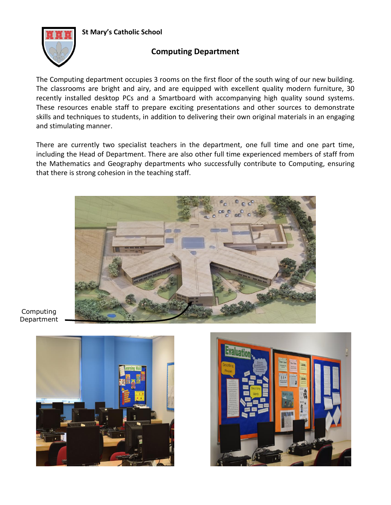**St Mary's Catholic School**



# **Computing Department**

The Computing department occupies 3 rooms on the first floor of the south wing of our new building. The classrooms are bright and airy, and are equipped with excellent quality modern furniture, 30 recently installed desktop PCs and a Smartboard with accompanying high quality sound systems. These resources enable staff to prepare exciting presentations and other sources to demonstrate skills and techniques to students, in addition to delivering their own original materials in an engaging and stimulating manner.

There are currently two specialist teachers in the department, one full time and one part time, including the Head of Department. There are also other full time experienced members of staff from the Mathematics and Geography departments who successfully contribute to Computing, ensuring that there is strong cohesion in the teaching staff.



#### Computing Department